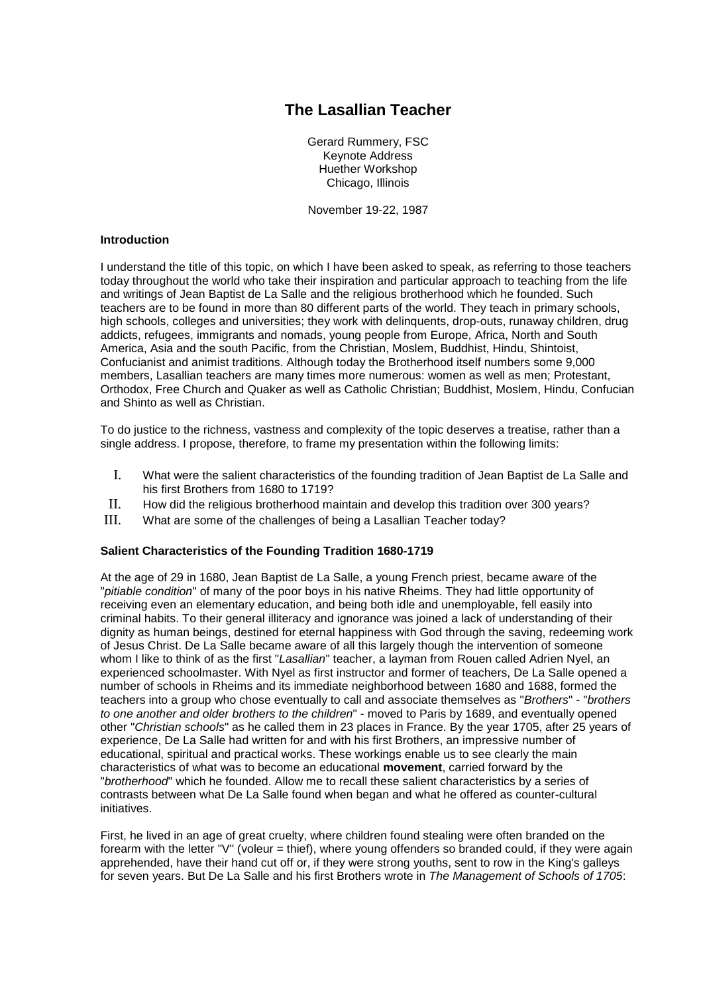# **The Lasallian Teacher**

Gerard Rummery, FSC Keynote Address Huether Workshop Chicago, Illinois

November 19-22, 1987

# **Introduction**

I understand the title of this topic, on which I have been asked to speak, as referring to those teachers today throughout the world who take their inspiration and particular approach to teaching from the life and writings of Jean Baptist de La Salle and the religious brotherhood which he founded. Such teachers are to be found in more than 80 different parts of the world. They teach in primary schools, high schools, colleges and universities; they work with delinquents, drop-outs, runaway children, drug addicts, refugees, immigrants and nomads, young people from Europe, Africa, North and South America, Asia and the south Pacific, from the Christian, Moslem, Buddhist, Hindu, Shintoist, Confucianist and animist traditions. Although today the Brotherhood itself numbers some 9,000 members, Lasallian teachers are many times more numerous: women as well as men; Protestant, Orthodox, Free Church and Quaker as well as Catholic Christian; Buddhist, Moslem, Hindu, Confucian and Shinto as well as Christian.

To do justice to the richness, vastness and complexity of the topic deserves a treatise, rather than a single address. I propose, therefore, to frame my presentation within the following limits:

- I. What were the salient characteristics of the founding tradition of Jean Baptist de La Salle and his first Brothers from 1680 to 1719?
- II. How did the religious brotherhood maintain and develop this tradition over 300 years?
- III. What are some of the challenges of being a Lasallian Teacher today?

#### **Salient Characteristics of the Founding Tradition 1680-1719**

At the age of 29 in 1680, Jean Baptist de La Salle, a young French priest, became aware of the "*pitiable condition*" of many of the poor boys in his native Rheims. They had little opportunity of receiving even an elementary education, and being both idle and unemployable, fell easily into criminal habits. To their general illiteracy and ignorance was joined a lack of understanding of their dignity as human beings, destined for eternal happiness with God through the saving, redeeming work of Jesus Christ. De La Salle became aware of all this largely though the intervention of someone whom I like to think of as the first "*Lasallian*" teacher, a layman from Rouen called Adrien Nyel, an experienced schoolmaster. With Nyel as first instructor and former of teachers, De La Salle opened a number of schools in Rheims and its immediate neighborhood between 1680 and 1688, formed the teachers into a group who chose eventually to call and associate themselves as "*Brothers*" - "*brothers to one another and older brothers to the children*" - moved to Paris by 1689, and eventually opened other "*Christian schools*" as he called them in 23 places in France. By the year 1705, after 25 years of experience, De La Salle had written for and with his first Brothers, an impressive number of educational, spiritual and practical works. These workings enable us to see clearly the main characteristics of what was to become an educational **movement**, carried forward by the "*brotherhood*" which he founded. Allow me to recall these salient characteristics by a series of contrasts between what De La Salle found when began and what he offered as counter-cultural initiatives.

First, he lived in an age of great cruelty, where children found stealing were often branded on the forearm with the letter "V" (voleur = thief), where young offenders so branded could, if they were again apprehended, have their hand cut off or, if they were strong youths, sent to row in the King's galleys for seven years. But De La Salle and his first Brothers wrote in *The Management of Schools of 1705*: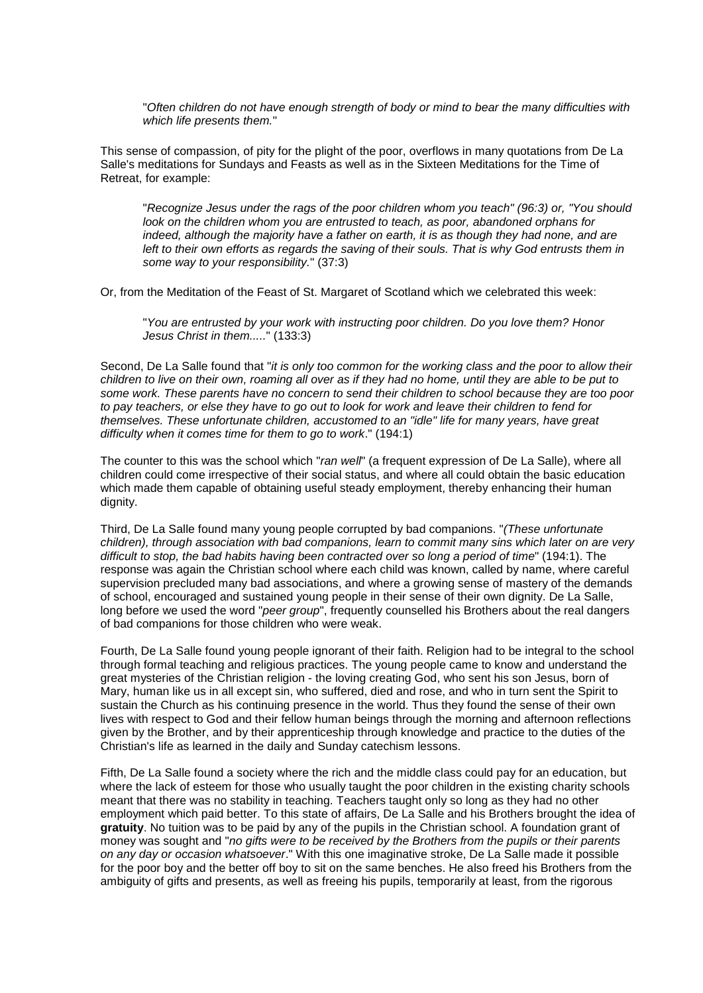"*Often children do not have enough strength of body or mind to bear the many difficulties with which life presents them.*"

This sense of compassion, of pity for the plight of the poor, overflows in many quotations from De La Salle's meditations for Sundays and Feasts as well as in the Sixteen Meditations for the Time of Retreat, for example:

"*Recognize Jesus under the rags of the poor children whom you teach" (96:3) or, "You should look on the children whom you are entrusted to teach, as poor, abandoned orphans for indeed, although the majority have a father on earth, it is as though they had none, and are left to their own efforts as regards the saving of their souls. That is why God entrusts them in some way to your responsibility.*" (37:3)

Or, from the Meditation of the Feast of St. Margaret of Scotland which we celebrated this week:

"*You are entrusted by your work with instructing poor children. Do you love them? Honor Jesus Christ in them.....*" (133:3)

Second, De La Salle found that "*it is only too common for the working class and the poor to allow their children to live on their own, roaming all over as if they had no home, until they are able to be put to some work. These parents have no concern to send their children to school because they are too poor to pay teachers, or else they have to go out to look for work and leave their children to fend for themselves. These unfortunate children, accustomed to an "idle" life for many years, have great difficulty when it comes time for them to go to work*." (194:1)

The counter to this was the school which "*ran well*" (a frequent expression of De La Salle), where all children could come irrespective of their social status, and where all could obtain the basic education which made them capable of obtaining useful steady employment, thereby enhancing their human dignity.

Third, De La Salle found many young people corrupted by bad companions. "*(These unfortunate children), through association with bad companions, learn to commit many sins which later on are very difficult to stop, the bad habits having been contracted over so long a period of time*" (194:1). The response was again the Christian school where each child was known, called by name, where careful supervision precluded many bad associations, and where a growing sense of mastery of the demands of school, encouraged and sustained young people in their sense of their own dignity. De La Salle, long before we used the word "*peer group*", frequently counselled his Brothers about the real dangers of bad companions for those children who were weak.

Fourth, De La Salle found young people ignorant of their faith. Religion had to be integral to the school through formal teaching and religious practices. The young people came to know and understand the great mysteries of the Christian religion - the loving creating God, who sent his son Jesus, born of Mary, human like us in all except sin, who suffered, died and rose, and who in turn sent the Spirit to sustain the Church as his continuing presence in the world. Thus they found the sense of their own lives with respect to God and their fellow human beings through the morning and afternoon reflections given by the Brother, and by their apprenticeship through knowledge and practice to the duties of the Christian's life as learned in the daily and Sunday catechism lessons.

Fifth, De La Salle found a society where the rich and the middle class could pay for an education, but where the lack of esteem for those who usually taught the poor children in the existing charity schools meant that there was no stability in teaching. Teachers taught only so long as they had no other employment which paid better. To this state of affairs, De La Salle and his Brothers brought the idea of **gratuity**. No tuition was to be paid by any of the pupils in the Christian school. A foundation grant of money was sought and "*no gifts were to be received by the Brothers from the pupils or their parents on any day or occasion whatsoever*." With this one imaginative stroke, De La Salle made it possible for the poor boy and the better off boy to sit on the same benches. He also freed his Brothers from the ambiguity of gifts and presents, as well as freeing his pupils, temporarily at least, from the rigorous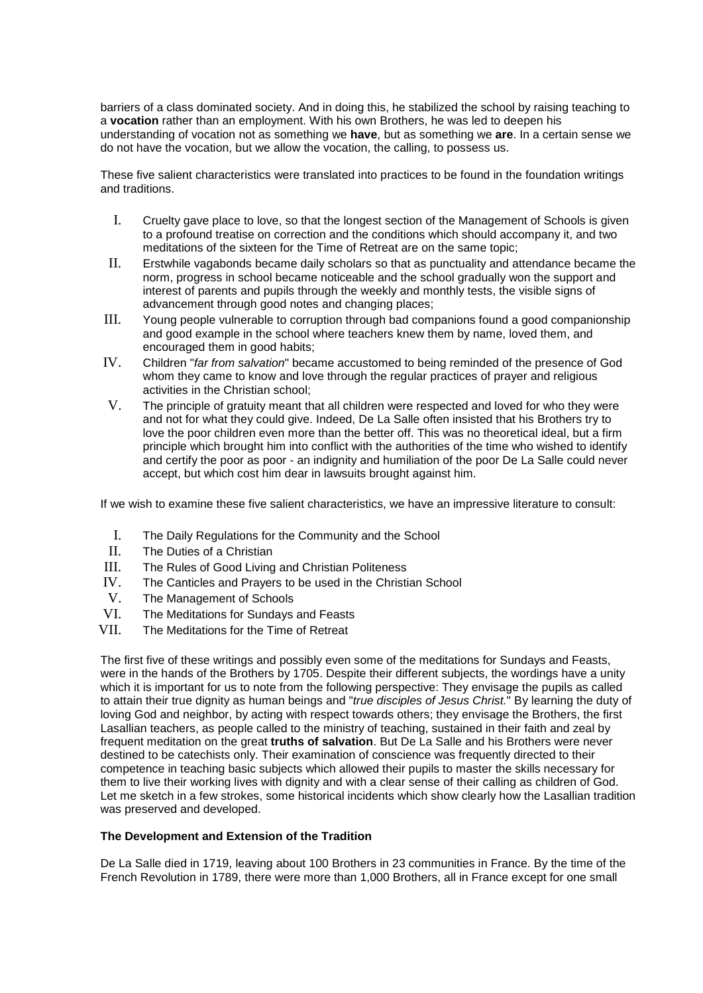barriers of a class dominated society. And in doing this, he stabilized the school by raising teaching to a **vocation** rather than an employment. With his own Brothers, he was led to deepen his understanding of vocation not as something we **have**, but as something we **are**. In a certain sense we do not have the vocation, but we allow the vocation, the calling, to possess us.

These five salient characteristics were translated into practices to be found in the foundation writings and traditions.

- I. Cruelty gave place to love, so that the longest section of the Management of Schools is given to a profound treatise on correction and the conditions which should accompany it, and two meditations of the sixteen for the Time of Retreat are on the same topic;
- II. Erstwhile vagabonds became daily scholars so that as punctuality and attendance became the norm, progress in school became noticeable and the school gradually won the support and interest of parents and pupils through the weekly and monthly tests, the visible signs of advancement through good notes and changing places;
- III. Young people vulnerable to corruption through bad companions found a good companionship and good example in the school where teachers knew them by name, loved them, and encouraged them in good habits;
- IV. Children "*far from salvation*" became accustomed to being reminded of the presence of God whom they came to know and love through the regular practices of prayer and religious activities in the Christian school;
- V. The principle of gratuity meant that all children were respected and loved for who they were and not for what they could give. Indeed, De La Salle often insisted that his Brothers try to love the poor children even more than the better off. This was no theoretical ideal, but a firm principle which brought him into conflict with the authorities of the time who wished to identify and certify the poor as poor - an indignity and humiliation of the poor De La Salle could never accept, but which cost him dear in lawsuits brought against him.

If we wish to examine these five salient characteristics, we have an impressive literature to consult:

- I. The Daily Regulations for the Community and the School<br>II The Duties of a Christian
- The Duties of a Christian
- III. The Rules of Good Living and Christian Politeness
- IV. The Canticles and Prayers to be used in the Christian School
- V. The Management of Schools<br>VI The Meditations for Sundays
- The Meditations for Sundays and Feasts
- VII. The Meditations for the Time of Retreat

The first five of these writings and possibly even some of the meditations for Sundays and Feasts, were in the hands of the Brothers by 1705. Despite their different subjects, the wordings have a unity which it is important for us to note from the following perspective: They envisage the pupils as called to attain their true dignity as human beings and "*true disciples of Jesus Christ.*" By learning the duty of loving God and neighbor, by acting with respect towards others; they envisage the Brothers, the first Lasallian teachers, as people called to the ministry of teaching, sustained in their faith and zeal by frequent meditation on the great **truths of salvation**. But De La Salle and his Brothers were never destined to be catechists only. Their examination of conscience was frequently directed to their competence in teaching basic subjects which allowed their pupils to master the skills necessary for them to live their working lives with dignity and with a clear sense of their calling as children of God. Let me sketch in a few strokes, some historical incidents which show clearly how the Lasallian tradition was preserved and developed.

#### **The Development and Extension of the Tradition**

De La Salle died in 1719, leaving about 100 Brothers in 23 communities in France. By the time of the French Revolution in 1789, there were more than 1,000 Brothers, all in France except for one small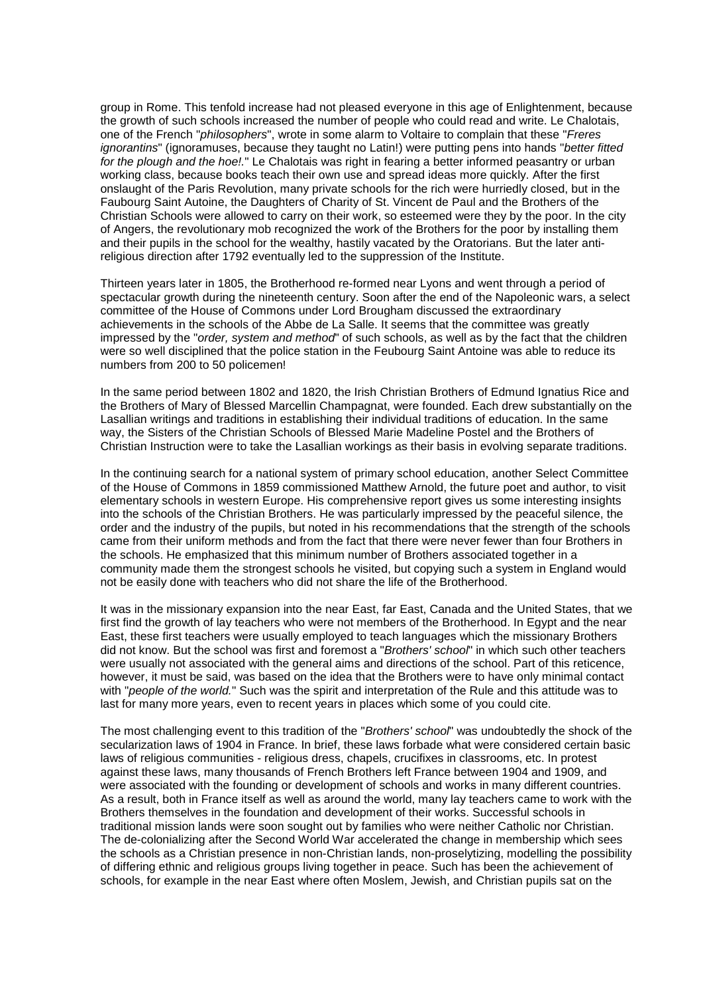group in Rome. This tenfold increase had not pleased everyone in this age of Enlightenment, because the growth of such schools increased the number of people who could read and write. Le Chalotais, one of the French "*philosophers*", wrote in some alarm to Voltaire to complain that these "*Freres ignorantins*" (ignoramuses, because they taught no Latin!) were putting pens into hands "*better fitted for the plough and the hoe!.*" Le Chalotais was right in fearing a better informed peasantry or urban working class, because books teach their own use and spread ideas more quickly. After the first onslaught of the Paris Revolution, many private schools for the rich were hurriedly closed, but in the Faubourg Saint Autoine, the Daughters of Charity of St. Vincent de Paul and the Brothers of the Christian Schools were allowed to carry on their work, so esteemed were they by the poor. In the city of Angers, the revolutionary mob recognized the work of the Brothers for the poor by installing them and their pupils in the school for the wealthy, hastily vacated by the Oratorians. But the later antireligious direction after 1792 eventually led to the suppression of the Institute.

Thirteen years later in 1805, the Brotherhood re-formed near Lyons and went through a period of spectacular growth during the nineteenth century. Soon after the end of the Napoleonic wars, a select committee of the House of Commons under Lord Brougham discussed the extraordinary achievements in the schools of the Abbe de La Salle. It seems that the committee was greatly impressed by the "*order, system and method*" of such schools, as well as by the fact that the children were so well disciplined that the police station in the Feubourg Saint Antoine was able to reduce its numbers from 200 to 50 policemen!

In the same period between 1802 and 1820, the Irish Christian Brothers of Edmund Ignatius Rice and the Brothers of Mary of Blessed Marcellin Champagnat, were founded. Each drew substantially on the Lasallian writings and traditions in establishing their individual traditions of education. In the same way, the Sisters of the Christian Schools of Blessed Marie Madeline Postel and the Brothers of Christian Instruction were to take the Lasallian workings as their basis in evolving separate traditions.

In the continuing search for a national system of primary school education, another Select Committee of the House of Commons in 1859 commissioned Matthew Arnold, the future poet and author, to visit elementary schools in western Europe. His comprehensive report gives us some interesting insights into the schools of the Christian Brothers. He was particularly impressed by the peaceful silence, the order and the industry of the pupils, but noted in his recommendations that the strength of the schools came from their uniform methods and from the fact that there were never fewer than four Brothers in the schools. He emphasized that this minimum number of Brothers associated together in a community made them the strongest schools he visited, but copying such a system in England would not be easily done with teachers who did not share the life of the Brotherhood.

It was in the missionary expansion into the near East, far East, Canada and the United States, that we first find the growth of lay teachers who were not members of the Brotherhood. In Egypt and the near East, these first teachers were usually employed to teach languages which the missionary Brothers did not know. But the school was first and foremost a "*Brothers' school*" in which such other teachers were usually not associated with the general aims and directions of the school. Part of this reticence, however, it must be said, was based on the idea that the Brothers were to have only minimal contact with "*people of the world.*" Such was the spirit and interpretation of the Rule and this attitude was to last for many more years, even to recent years in places which some of you could cite.

The most challenging event to this tradition of the "*Brothers' school*" was undoubtedly the shock of the secularization laws of 1904 in France. In brief, these laws forbade what were considered certain basic laws of religious communities - religious dress, chapels, crucifixes in classrooms, etc. In protest against these laws, many thousands of French Brothers left France between 1904 and 1909, and were associated with the founding or development of schools and works in many different countries. As a result, both in France itself as well as around the world, many lay teachers came to work with the Brothers themselves in the foundation and development of their works. Successful schools in traditional mission lands were soon sought out by families who were neither Catholic nor Christian. The de-colonializing after the Second World War accelerated the change in membership which sees the schools as a Christian presence in non-Christian lands, non-proselytizing, modelling the possibility of differing ethnic and religious groups living together in peace. Such has been the achievement of schools, for example in the near East where often Moslem, Jewish, and Christian pupils sat on the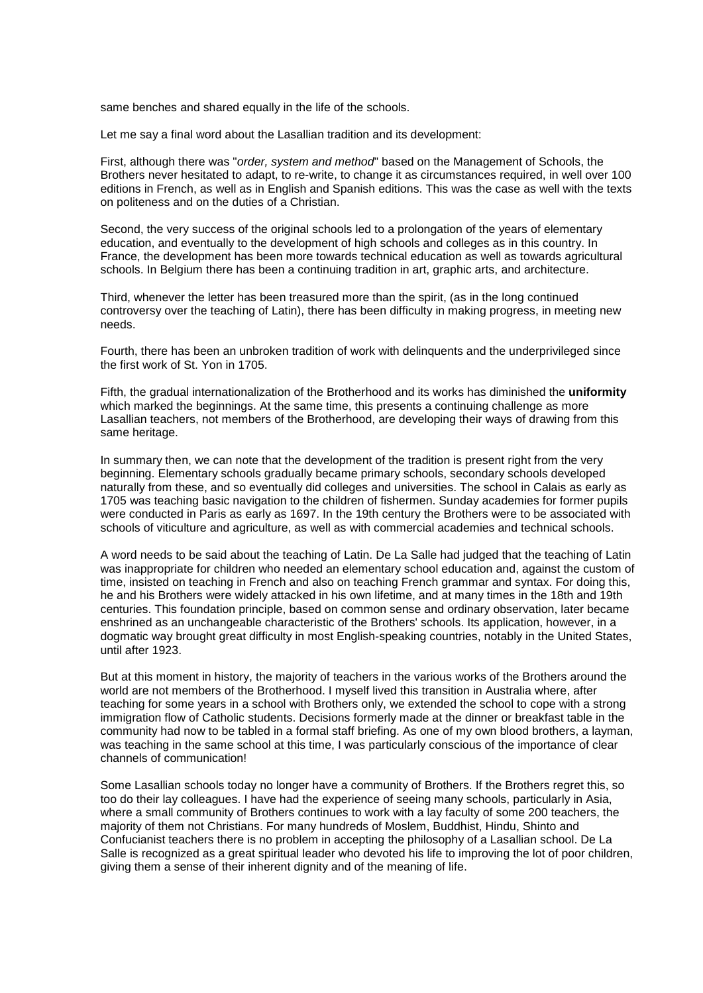same benches and shared equally in the life of the schools.

Let me say a final word about the Lasallian tradition and its development:

First, although there was "*order, system and method*" based on the Management of Schools, the Brothers never hesitated to adapt, to re-write, to change it as circumstances required, in well over 100 editions in French, as well as in English and Spanish editions. This was the case as well with the texts on politeness and on the duties of a Christian.

Second, the very success of the original schools led to a prolongation of the years of elementary education, and eventually to the development of high schools and colleges as in this country. In France, the development has been more towards technical education as well as towards agricultural schools. In Belgium there has been a continuing tradition in art, graphic arts, and architecture.

Third, whenever the letter has been treasured more than the spirit, (as in the long continued controversy over the teaching of Latin), there has been difficulty in making progress, in meeting new needs.

Fourth, there has been an unbroken tradition of work with delinquents and the underprivileged since the first work of St. Yon in 1705.

Fifth, the gradual internationalization of the Brotherhood and its works has diminished the **uniformity** which marked the beginnings. At the same time, this presents a continuing challenge as more Lasallian teachers, not members of the Brotherhood, are developing their ways of drawing from this same heritage.

In summary then, we can note that the development of the tradition is present right from the very beginning. Elementary schools gradually became primary schools, secondary schools developed naturally from these, and so eventually did colleges and universities. The school in Calais as early as 1705 was teaching basic navigation to the children of fishermen. Sunday academies for former pupils were conducted in Paris as early as 1697. In the 19th century the Brothers were to be associated with schools of viticulture and agriculture, as well as with commercial academies and technical schools.

A word needs to be said about the teaching of Latin. De La Salle had judged that the teaching of Latin was inappropriate for children who needed an elementary school education and, against the custom of time, insisted on teaching in French and also on teaching French grammar and syntax. For doing this, he and his Brothers were widely attacked in his own lifetime, and at many times in the 18th and 19th centuries. This foundation principle, based on common sense and ordinary observation, later became enshrined as an unchangeable characteristic of the Brothers' schools. Its application, however, in a dogmatic way brought great difficulty in most English-speaking countries, notably in the United States, until after 1923.

But at this moment in history, the majority of teachers in the various works of the Brothers around the world are not members of the Brotherhood. I myself lived this transition in Australia where, after teaching for some years in a school with Brothers only, we extended the school to cope with a strong immigration flow of Catholic students. Decisions formerly made at the dinner or breakfast table in the community had now to be tabled in a formal staff briefing. As one of my own blood brothers, a layman, was teaching in the same school at this time, I was particularly conscious of the importance of clear channels of communication!

Some Lasallian schools today no longer have a community of Brothers. If the Brothers regret this, so too do their lay colleagues. I have had the experience of seeing many schools, particularly in Asia, where a small community of Brothers continues to work with a lay faculty of some 200 teachers, the majority of them not Christians. For many hundreds of Moslem, Buddhist, Hindu, Shinto and Confucianist teachers there is no problem in accepting the philosophy of a Lasallian school. De La Salle is recognized as a great spiritual leader who devoted his life to improving the lot of poor children, giving them a sense of their inherent dignity and of the meaning of life.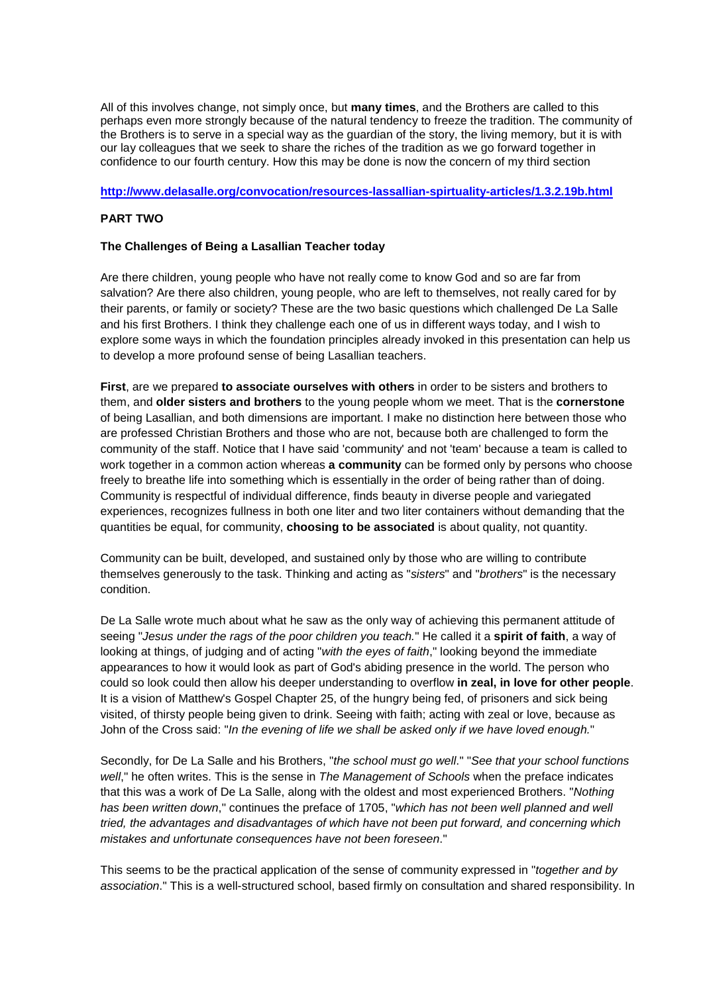All of this involves change, not simply once, but **many times**, and the Brothers are called to this perhaps even more strongly because of the natural tendency to freeze the tradition. The community of the Brothers is to serve in a special way as the guardian of the story, the living memory, but it is with our lay colleagues that we seek to share the riches of the tradition as we go forward together in confidence to our fourth century. How this may be done is now the concern of my third section

### **<http://www.delasalle.org/convocation/resources-lassallian-spirtuality-articles/1.3.2.19b.html>**

# **PART TWO**

### **The Challenges of Being a Lasallian Teacher today**

Are there children, young people who have not really come to know God and so are far from salvation? Are there also children, young people, who are left to themselves, not really cared for by their parents, or family or society? These are the two basic questions which challenged De La Salle and his first Brothers. I think they challenge each one of us in different ways today, and I wish to explore some ways in which the foundation principles already invoked in this presentation can help us to develop a more profound sense of being Lasallian teachers.

**First**, are we prepared **to associate ourselves with others** in order to be sisters and brothers to them, and **older sisters and brothers** to the young people whom we meet. That is the **cornerstone** of being Lasallian, and both dimensions are important. I make no distinction here between those who are professed Christian Brothers and those who are not, because both are challenged to form the community of the staff. Notice that I have said 'community' and not 'team' because a team is called to work together in a common action whereas **a community** can be formed only by persons who choose freely to breathe life into something which is essentially in the order of being rather than of doing. Community is respectful of individual difference, finds beauty in diverse people and variegated experiences, recognizes fullness in both one liter and two liter containers without demanding that the quantities be equal, for community, **choosing to be associated** is about quality, not quantity.

Community can be built, developed, and sustained only by those who are willing to contribute themselves generously to the task. Thinking and acting as "*sisters*" and "*brothers*" is the necessary condition.

De La Salle wrote much about what he saw as the only way of achieving this permanent attitude of seeing "*Jesus under the rags of the poor children you teach.*" He called it a **spirit of faith**, a way of looking at things, of judging and of acting "*with the eyes of faith*," looking beyond the immediate appearances to how it would look as part of God's abiding presence in the world. The person who could so look could then allow his deeper understanding to overflow **in zeal, in love for other people**. It is a vision of Matthew's Gospel Chapter 25, of the hungry being fed, of prisoners and sick being visited, of thirsty people being given to drink. Seeing with faith; acting with zeal or love, because as John of the Cross said: "*In the evening of life we shall be asked only if we have loved enough.*"

Secondly, for De La Salle and his Brothers, "*the school must go well*." "*See that your school functions well*," he often writes. This is the sense in *The Management of Schools* when the preface indicates that this was a work of De La Salle, along with the oldest and most experienced Brothers. "*Nothing has been written down*," continues the preface of 1705, "*which has not been well planned and well tried, the advantages and disadvantages of which have not been put forward, and concerning which mistakes and unfortunate consequences have not been foreseen*."

This seems to be the practical application of the sense of community expressed in "*together and by association*." This is a well-structured school, based firmly on consultation and shared responsibility. In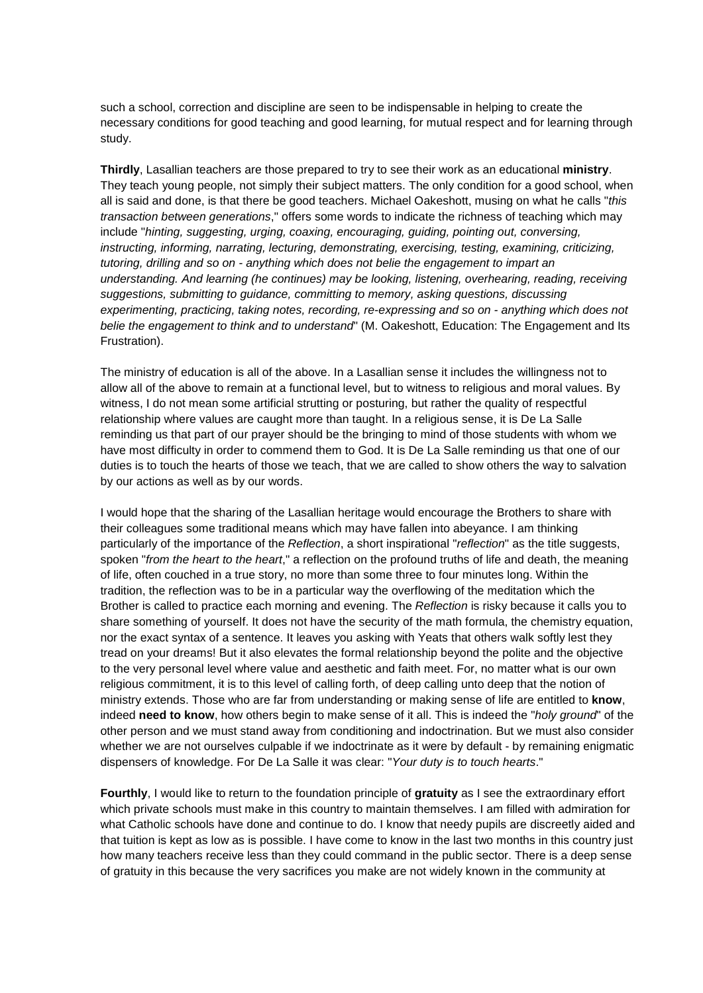such a school, correction and discipline are seen to be indispensable in helping to create the necessary conditions for good teaching and good learning, for mutual respect and for learning through study.

**Thirdly**, Lasallian teachers are those prepared to try to see their work as an educational **ministry**. They teach young people, not simply their subject matters. The only condition for a good school, when all is said and done, is that there be good teachers. Michael Oakeshott, musing on what he calls "*this transaction between generations*," offers some words to indicate the richness of teaching which may include "*hinting, suggesting, urging, coaxing, encouraging, guiding, pointing out, conversing, instructing, informing, narrating, lecturing, demonstrating, exercising, testing, examining, criticizing, tutoring, drilling and so on - anything which does not belie the engagement to impart an understanding. And learning (he continues) may be looking, listening, overhearing, reading, receiving suggestions, submitting to guidance, committing to memory, asking questions, discussing experimenting, practicing, taking notes, recording, re-expressing and so on - anything which does not belie the engagement to think and to understand*" (M. Oakeshott, Education: The Engagement and Its Frustration).

The ministry of education is all of the above. In a Lasallian sense it includes the willingness not to allow all of the above to remain at a functional level, but to witness to religious and moral values. By witness, I do not mean some artificial strutting or posturing, but rather the quality of respectful relationship where values are caught more than taught. In a religious sense, it is De La Salle reminding us that part of our prayer should be the bringing to mind of those students with whom we have most difficulty in order to commend them to God. It is De La Salle reminding us that one of our duties is to touch the hearts of those we teach, that we are called to show others the way to salvation by our actions as well as by our words.

I would hope that the sharing of the Lasallian heritage would encourage the Brothers to share with their colleagues some traditional means which may have fallen into abeyance. I am thinking particularly of the importance of the *Reflection*, a short inspirational "*reflection*" as the title suggests, spoken "*from the heart to the heart*," a reflection on the profound truths of life and death, the meaning of life, often couched in a true story, no more than some three to four minutes long. Within the tradition, the reflection was to be in a particular way the overflowing of the meditation which the Brother is called to practice each morning and evening. The *Reflection* is risky because it calls you to share something of yourself. It does not have the security of the math formula, the chemistry equation, nor the exact syntax of a sentence. It leaves you asking with Yeats that others walk softly lest they tread on your dreams! But it also elevates the formal relationship beyond the polite and the objective to the very personal level where value and aesthetic and faith meet. For, no matter what is our own religious commitment, it is to this level of calling forth, of deep calling unto deep that the notion of ministry extends. Those who are far from understanding or making sense of life are entitled to **know**, indeed **need to know**, how others begin to make sense of it all. This is indeed the "*holy ground*" of the other person and we must stand away from conditioning and indoctrination. But we must also consider whether we are not ourselves culpable if we indoctrinate as it were by default - by remaining enigmatic dispensers of knowledge. For De La Salle it was clear: "*Your duty is to touch hearts*."

**Fourthly**, I would like to return to the foundation principle of **gratuity** as I see the extraordinary effort which private schools must make in this country to maintain themselves. I am filled with admiration for what Catholic schools have done and continue to do. I know that needy pupils are discreetly aided and that tuition is kept as low as is possible. I have come to know in the last two months in this country just how many teachers receive less than they could command in the public sector. There is a deep sense of gratuity in this because the very sacrifices you make are not widely known in the community at